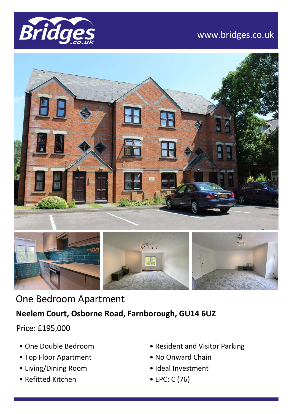

## www.bridges.co.uk





One Bedroom Apartment **Neelem Court, Osborne Road, Farnborough, GU14 6UZ**

Price: £195,000

- One Double Bedroom
- Top Floor Apartment
- Living/Dining Room
- Refitted Kitchen
- Resident and Visitor Parking
- No Onward Chain
- Ideal Investment
- EPC: C (76)